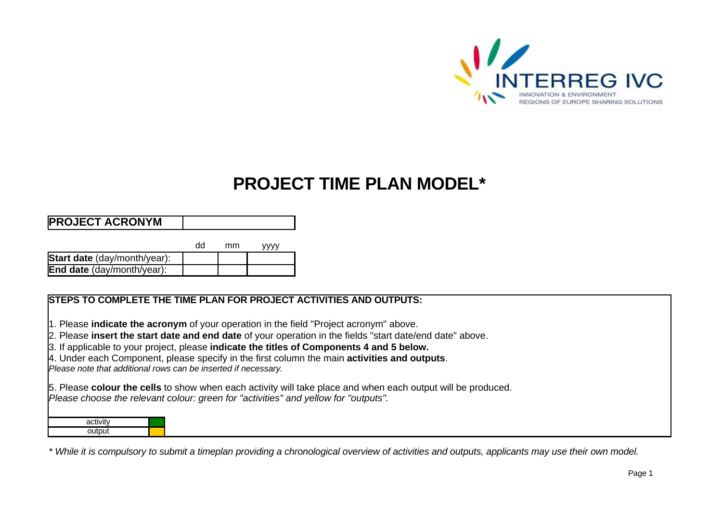

## **PROJECT TIME PLAN MODEL\***

## **PROJECT ACRONYM**

|                                     | uu | mm | vvvv |
|-------------------------------------|----|----|------|
| <b>Start date</b> (day/month/year): |    |    |      |
| <b>End date</b> (day/month/year):   |    |    |      |

## **STEPS TO COMPLETE THE TIME PLAN FOR PROJECT ACTIVITIES AND OUTPUTS:**

1. Please **indicate the acronym** of your operation in the field "Project acronym" above.

2. Please **insert the start date and end date** of your operation in the fields "start date/end date" above.

3. If applicable to your project, please **indicate the titles of Components 4 and 5 below.**

4. Under each Component, please specify in the first column the main **activities and outputs**.

*Please note that additional rows can be inserted if necessary.*

5. Please **colour the cells** to show when each activity will take place and when each output will be produced. *Please choose the relevant colour: green for "activities" and yellow for "outputs".* 

| activity |  |
|----------|--|
| output   |  |

*\* While it is compulsory to submit a timeplan providing a chronological overview of activities and outputs, applicants may use their own model.*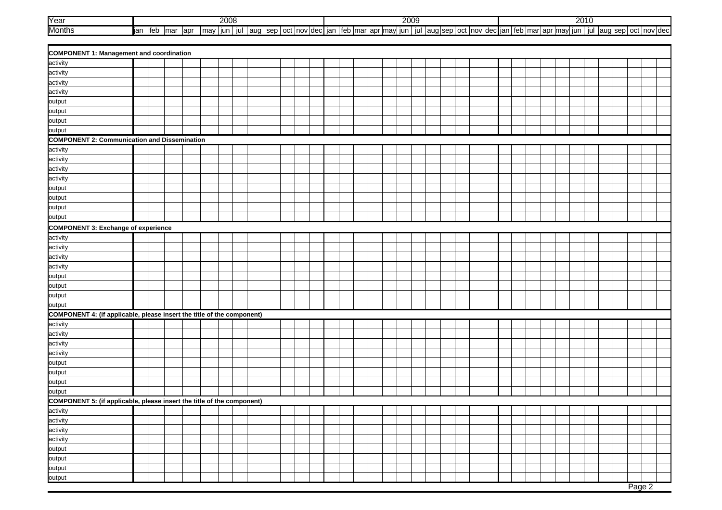| <b>Year</b>   | nnnn<br><b>CUUC</b> |     |      |     |     |     |     |        |   |                         | 2009 |     |       |              |      |  |     |             |  |  |                   | 001<br><b>LUIT</b> |     |       |  |      |  |   |  |  |  |                     |
|---------------|---------------------|-----|------|-----|-----|-----|-----|--------|---|-------------------------|------|-----|-------|--------------|------|--|-----|-------------|--|--|-------------------|--------------------|-----|-------|--|------|--|---|--|--|--|---------------------|
| <b>Months</b> | $\sim$<br>ieu       | mar | lapr | may | iun | iul | auy | $\sim$ | - | : Inovidec <b>i</b> ian |      | $+$ | lmarl | $\sim$<br>αı | ™ma. |  | iul | aug sep oct |  |  | oct inovidectiani |                    | $+$ | mar ( |  | lmav |  | ш |  |  |  | aug sep oct nov dec |

| <b>COMPONENT 1: Management and coordination</b>                        |  |  |  |  |  |  |  |  |  |  |  |  |  |  |  |        |  |
|------------------------------------------------------------------------|--|--|--|--|--|--|--|--|--|--|--|--|--|--|--|--------|--|
| activity                                                               |  |  |  |  |  |  |  |  |  |  |  |  |  |  |  |        |  |
| activity                                                               |  |  |  |  |  |  |  |  |  |  |  |  |  |  |  |        |  |
| activity                                                               |  |  |  |  |  |  |  |  |  |  |  |  |  |  |  |        |  |
| activity                                                               |  |  |  |  |  |  |  |  |  |  |  |  |  |  |  |        |  |
| output                                                                 |  |  |  |  |  |  |  |  |  |  |  |  |  |  |  |        |  |
| output                                                                 |  |  |  |  |  |  |  |  |  |  |  |  |  |  |  |        |  |
| output                                                                 |  |  |  |  |  |  |  |  |  |  |  |  |  |  |  |        |  |
| output                                                                 |  |  |  |  |  |  |  |  |  |  |  |  |  |  |  |        |  |
| <b>COMPONENT 2: Communication and Dissemination</b>                    |  |  |  |  |  |  |  |  |  |  |  |  |  |  |  |        |  |
| activity                                                               |  |  |  |  |  |  |  |  |  |  |  |  |  |  |  |        |  |
| activity                                                               |  |  |  |  |  |  |  |  |  |  |  |  |  |  |  |        |  |
| activity                                                               |  |  |  |  |  |  |  |  |  |  |  |  |  |  |  |        |  |
| activity                                                               |  |  |  |  |  |  |  |  |  |  |  |  |  |  |  |        |  |
| output                                                                 |  |  |  |  |  |  |  |  |  |  |  |  |  |  |  |        |  |
| output                                                                 |  |  |  |  |  |  |  |  |  |  |  |  |  |  |  |        |  |
| output                                                                 |  |  |  |  |  |  |  |  |  |  |  |  |  |  |  |        |  |
| output                                                                 |  |  |  |  |  |  |  |  |  |  |  |  |  |  |  |        |  |
| COMPONENT 3: Exchange of experience                                    |  |  |  |  |  |  |  |  |  |  |  |  |  |  |  |        |  |
| activity                                                               |  |  |  |  |  |  |  |  |  |  |  |  |  |  |  |        |  |
| activity                                                               |  |  |  |  |  |  |  |  |  |  |  |  |  |  |  |        |  |
| activity                                                               |  |  |  |  |  |  |  |  |  |  |  |  |  |  |  |        |  |
| activity                                                               |  |  |  |  |  |  |  |  |  |  |  |  |  |  |  |        |  |
| output                                                                 |  |  |  |  |  |  |  |  |  |  |  |  |  |  |  |        |  |
| output                                                                 |  |  |  |  |  |  |  |  |  |  |  |  |  |  |  |        |  |
| output                                                                 |  |  |  |  |  |  |  |  |  |  |  |  |  |  |  |        |  |
| output                                                                 |  |  |  |  |  |  |  |  |  |  |  |  |  |  |  |        |  |
| COMPONENT 4: (if applicable, please insert the title of the component) |  |  |  |  |  |  |  |  |  |  |  |  |  |  |  |        |  |
| activity                                                               |  |  |  |  |  |  |  |  |  |  |  |  |  |  |  |        |  |
| activity                                                               |  |  |  |  |  |  |  |  |  |  |  |  |  |  |  |        |  |
| activity                                                               |  |  |  |  |  |  |  |  |  |  |  |  |  |  |  |        |  |
| activity                                                               |  |  |  |  |  |  |  |  |  |  |  |  |  |  |  |        |  |
| output                                                                 |  |  |  |  |  |  |  |  |  |  |  |  |  |  |  |        |  |
| output                                                                 |  |  |  |  |  |  |  |  |  |  |  |  |  |  |  |        |  |
| output                                                                 |  |  |  |  |  |  |  |  |  |  |  |  |  |  |  |        |  |
| output                                                                 |  |  |  |  |  |  |  |  |  |  |  |  |  |  |  |        |  |
| COMPONENT 5: (if applicable, please insert the title of the component) |  |  |  |  |  |  |  |  |  |  |  |  |  |  |  |        |  |
| activity                                                               |  |  |  |  |  |  |  |  |  |  |  |  |  |  |  |        |  |
| activity                                                               |  |  |  |  |  |  |  |  |  |  |  |  |  |  |  |        |  |
| activity                                                               |  |  |  |  |  |  |  |  |  |  |  |  |  |  |  |        |  |
| activity                                                               |  |  |  |  |  |  |  |  |  |  |  |  |  |  |  |        |  |
| output                                                                 |  |  |  |  |  |  |  |  |  |  |  |  |  |  |  |        |  |
| output                                                                 |  |  |  |  |  |  |  |  |  |  |  |  |  |  |  |        |  |
| output                                                                 |  |  |  |  |  |  |  |  |  |  |  |  |  |  |  |        |  |
| output                                                                 |  |  |  |  |  |  |  |  |  |  |  |  |  |  |  |        |  |
|                                                                        |  |  |  |  |  |  |  |  |  |  |  |  |  |  |  | Page 2 |  |